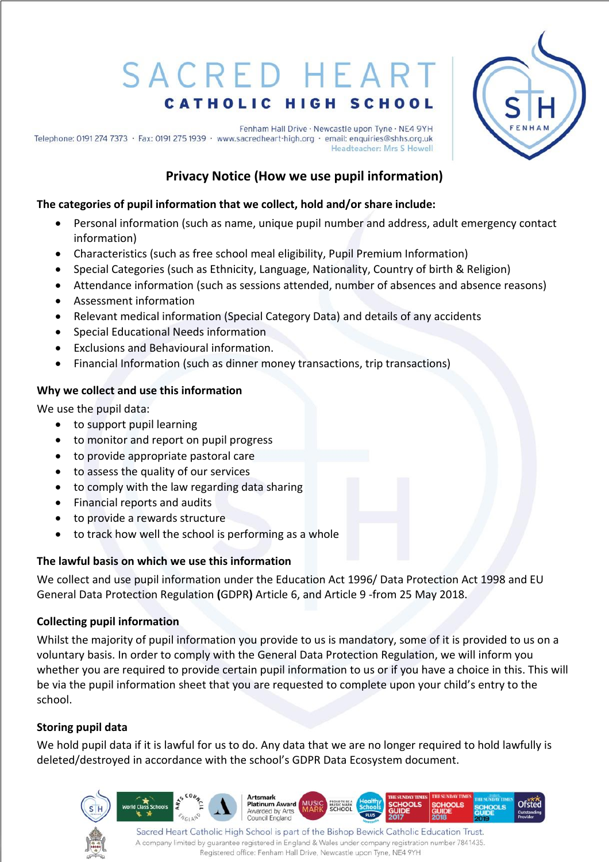# SACRED HEART **CATHOLIC HIGH SCHOOL**

**Ofsted** 

Fenham Hall Drive · Newcastle upon Tyne · NE4 9YH Telephone: 0191 274 7373 · Fax: 0191 275 1939 · www.sacredheart-high.org · email: enquiries@shhs.org.uk Headteacher: Mrs S Howell

## **Privacy Notice (How we use pupil information)**

## **The categories of pupil information that we collect, hold and/or share include:**

- Personal information (such as name, unique pupil number and address, adult emergency contact information)
- Characteristics (such as free school meal eligibility, Pupil Premium Information)
- Special Categories (such as Ethnicity, Language, Nationality, Country of birth & Religion)
- Attendance information (such as sessions attended, number of absences and absence reasons)
- Assessment information
- Relevant medical information (Special Category Data) and details of any accidents
- Special Educational Needs information
- Exclusions and Behavioural information.
- Financial Information (such as dinner money transactions, trip transactions)

## **Why we collect and use this information**

We use the pupil data:

- to support pupil learning
- to monitor and report on pupil progress
- to provide appropriate pastoral care
- to assess the quality of our services
- to comply with the law regarding data sharing
- Financial reports and audits
- to provide a rewards structure
- to track how well the school is performing as a whole

### **The lawful basis on which we use this information**

We collect and use pupil information under the Education Act 1996/ Data Protection Act 1998 and EU General Data Protection Regulation **(**GDPR**)** Article 6, and Article 9 -from 25 May 2018.

## **Collecting pupil information**

Whilst the majority of pupil information you provide to us is mandatory, some of it is provided to us on a voluntary basis. In order to comply with the General Data Protection Regulation, we will inform you whether you are required to provide certain pupil information to us or if you have a choice in this. This will be via the pupil information sheet that you are requested to complete upon your child's entry to the school.

## **Storing pupil data**

We hold pupil data if it is lawful for us to do. Any data that we are no longer required to hold lawfully is deleted/destroyed in accordance with the school's GDPR Data Ecosystem document.



Artsmark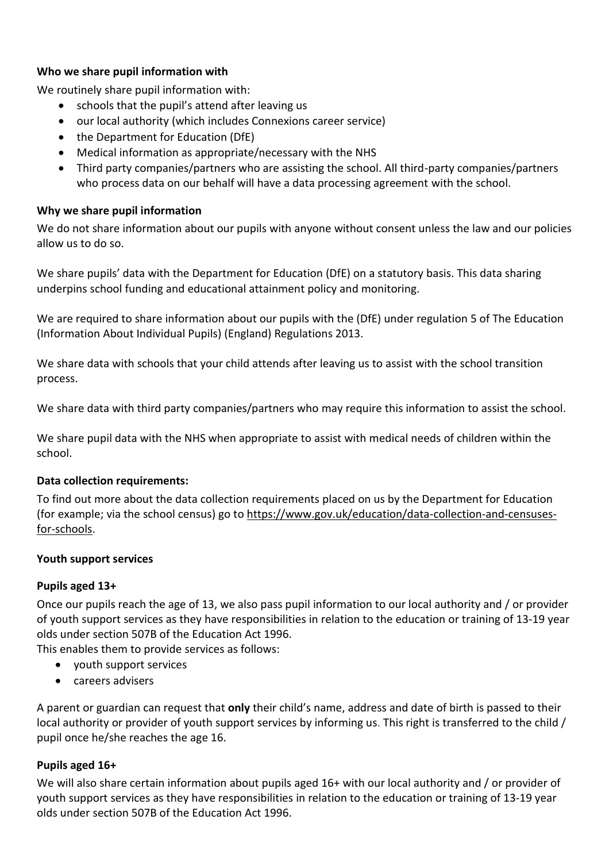#### **Who we share pupil information with**

We routinely share pupil information with:

- schools that the pupil's attend after leaving us
- our local authority (which includes Connexions career service)
- the Department for Education (DfE)
- Medical information as appropriate/necessary with the NHS
- Third party companies/partners who are assisting the school. All third-party companies/partners who process data on our behalf will have a data processing agreement with the school.

#### **Why we share pupil information**

We do not share information about our pupils with anyone without consent unless the law and our policies allow us to do so.

We share pupils' data with the Department for Education (DfE) on a statutory basis. This data sharing underpins school funding and educational attainment policy and monitoring.

We are required to share information about our pupils with the (DfE) under regulation 5 of The Education (Information About Individual Pupils) (England) Regulations 2013.

We share data with schools that your child attends after leaving us to assist with the school transition process.

We share data with third party companies/partners who may require this information to assist the school.

We share pupil data with the NHS when appropriate to assist with medical needs of children within the school.

#### **Data collection requirements:**

To find out more about the data collection requirements placed on us by the Department for Education (for example; via the school census) go to [https://www.gov.uk/education/data-collection-and-censuses](https://www.gov.uk/education/data-collection-and-censuses-for-schools)[for-schools.](https://www.gov.uk/education/data-collection-and-censuses-for-schools)

#### **Youth support services**

#### **Pupils aged 13+**

Once our pupils reach the age of 13, we also pass pupil information to our local authority and / or provider of youth support services as they have responsibilities in relation to the education or training of 13-19 year olds under section 507B of the Education Act 1996.

This enables them to provide services as follows:

- youth support services
- careers advisers

A parent or guardian can request that **only** their child's name, address and date of birth is passed to their local authority or provider of youth support services by informing us. This right is transferred to the child / pupil once he/she reaches the age 16.

#### **Pupils aged 16+**

We will also share certain information about pupils aged 16+ with our local authority and / or provider of youth support services as they have responsibilities in relation to the education or training of 13-19 year olds under section 507B of the Education Act 1996.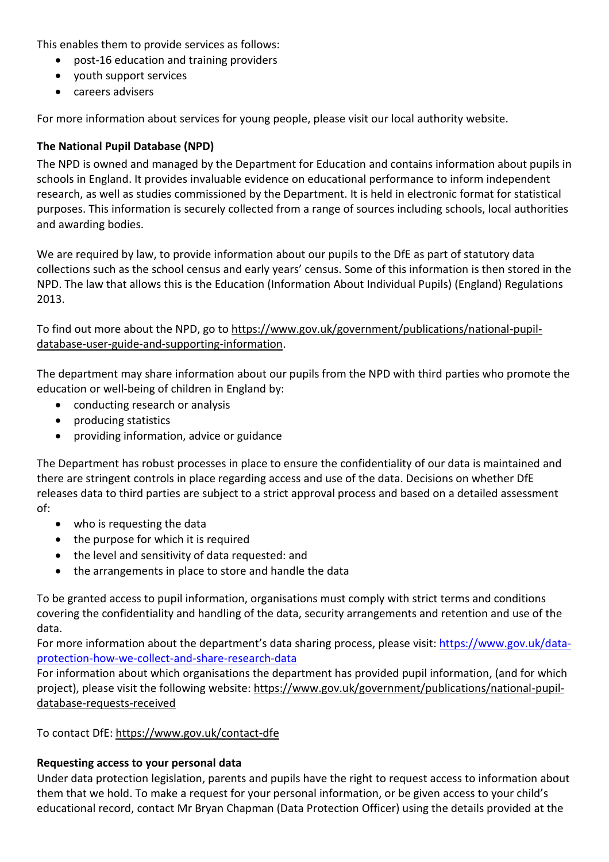This enables them to provide services as follows:

- post-16 education and training providers
- youth support services
- careers advisers

For more information about services for young people, please visit our local authority website.

#### **The National Pupil Database (NPD)**

The NPD is owned and managed by the Department for Education and contains information about pupils in schools in England. It provides invaluable evidence on educational performance to inform independent research, as well as studies commissioned by the Department. It is held in electronic format for statistical purposes. This information is securely collected from a range of sources including schools, local authorities and awarding bodies.

We are required by law, to provide information about our pupils to the DfE as part of statutory data collections such as the school census and early years' census. Some of this information is then stored in the NPD. The law that allows this is the Education (Information About Individual Pupils) (England) Regulations 2013.

To find out more about the NPD, go to [https://www.gov.uk/government/publications/national-pupil](https://www.gov.uk/government/publications/national-pupil-database-user-guide-and-supporting-information)[database-user-guide-and-supporting-information.](https://www.gov.uk/government/publications/national-pupil-database-user-guide-and-supporting-information)

The department may share information about our pupils from the NPD with third parties who promote the education or well-being of children in England by:

- conducting research or analysis
- producing statistics
- providing information, advice or guidance

The Department has robust processes in place to ensure the confidentiality of our data is maintained and there are stringent controls in place regarding access and use of the data. Decisions on whether DfE releases data to third parties are subject to a strict approval process and based on a detailed assessment of:

- who is requesting the data
- the purpose for which it is required
- the level and sensitivity of data requested: and
- the arrangements in place to store and handle the data

To be granted access to pupil information, organisations must comply with strict terms and conditions covering the confidentiality and handling of the data, security arrangements and retention and use of the data.

For more information about the department's data sharing process, please visit: [https://www.gov.uk/data](https://www.gov.uk/data-protection-how-we-collect-and-share-research-data)[protection-how-we-collect-and-share-research-data](https://www.gov.uk/data-protection-how-we-collect-and-share-research-data)

For information about which organisations the department has provided pupil information, (and for which project), please visit the following website: [https://www.gov.uk/government/publications/national-pupil](https://www.gov.uk/government/publications/national-pupil-database-requests-received)[database-requests-received](https://www.gov.uk/government/publications/national-pupil-database-requests-received)

To contact DfE: <https://www.gov.uk/contact-dfe>

#### **Requesting access to your personal data**

Under data protection legislation, parents and pupils have the right to request access to information about them that we hold. To make a request for your personal information, or be given access to your child's educational record, contact Mr Bryan Chapman (Data Protection Officer) using the details provided at the